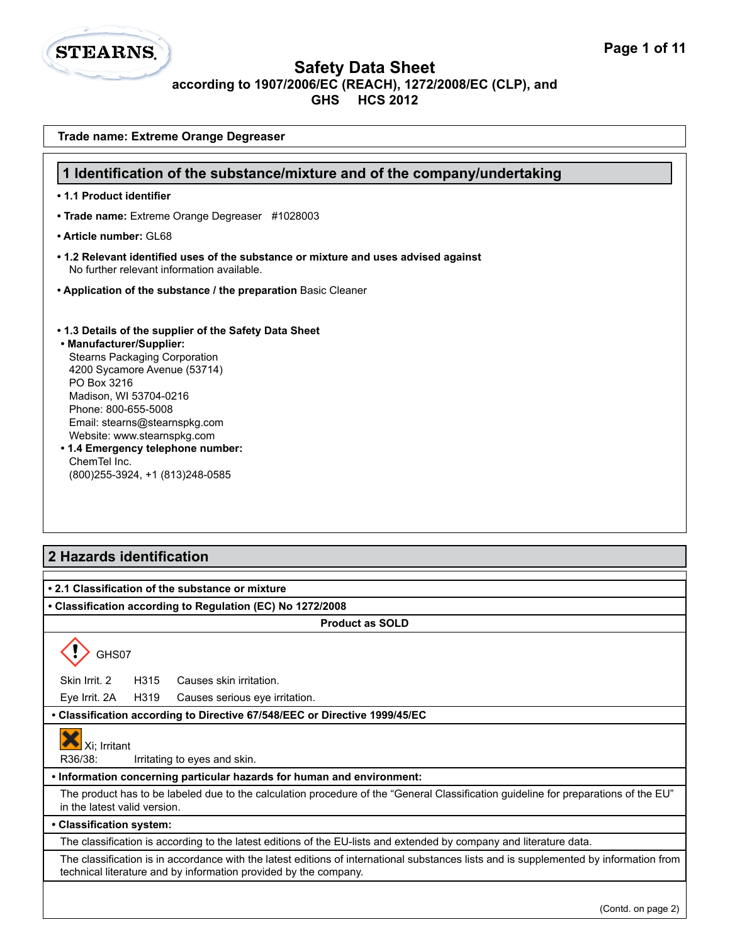

| Trade name: Extreme Orange Degreaser                                                                                                                                                                                                                                                                                                                                                 |
|--------------------------------------------------------------------------------------------------------------------------------------------------------------------------------------------------------------------------------------------------------------------------------------------------------------------------------------------------------------------------------------|
| 1 Identification of the substance/mixture and of the company/undertaking                                                                                                                                                                                                                                                                                                             |
| • 1.1 Product identifier                                                                                                                                                                                                                                                                                                                                                             |
| • Trade name: Extreme Orange Degreaser #1028003                                                                                                                                                                                                                                                                                                                                      |
| • Article number: GL68                                                                                                                                                                                                                                                                                                                                                               |
| • 1.2 Relevant identified uses of the substance or mixture and uses advised against                                                                                                                                                                                                                                                                                                  |
| No further relevant information available.                                                                                                                                                                                                                                                                                                                                           |
| • Application of the substance / the preparation Basic Cleaner                                                                                                                                                                                                                                                                                                                       |
| • 1.3 Details of the supplier of the Safety Data Sheet<br>• Manufacturer/Supplier:<br><b>Stearns Packaging Corporation</b><br>4200 Sycamore Avenue (53714)<br>PO Box 3216<br>Madison, WI 53704-0216<br>Phone: 800-655-5008<br>Email: stearns@stearnspkg.com<br>Website: www.stearnspkg.com<br>• 1.4 Emergency telephone number:<br>ChemTel Inc.<br>(800) 255-3924, +1 (813) 248-0585 |
| 2 Hazards identification                                                                                                                                                                                                                                                                                                                                                             |
| • 2.1 Classification of the substance or mixture<br>• Classification according to Regulation (EC) No 1272/2008                                                                                                                                                                                                                                                                       |
| <b>Product as SOLD</b>                                                                                                                                                                                                                                                                                                                                                               |
| GHS07                                                                                                                                                                                                                                                                                                                                                                                |
| H315<br>Skin Irrit. 2<br>Causes skin irritation.                                                                                                                                                                                                                                                                                                                                     |
| H319<br>Eye Irrit. 2A<br>Causes serious eye irritation.                                                                                                                                                                                                                                                                                                                              |
| • Classification according to Directive 67/548/EEC or Directive 1999/45/EC                                                                                                                                                                                                                                                                                                           |
| Xi; Irritant<br>R36/38:<br>Irritating to eyes and skin.                                                                                                                                                                                                                                                                                                                              |
| . Information concerning particular hazards for human and environment:                                                                                                                                                                                                                                                                                                               |
| The product has to be labeled due to the calculation procedure of the "General Classification guideline for preparations of the EU"<br>in the latest valid version.                                                                                                                                                                                                                  |
| • Classification system:                                                                                                                                                                                                                                                                                                                                                             |
| The classification is according to the latest editions of the EU-lists and extended by company and literature data.                                                                                                                                                                                                                                                                  |
| The classification is in accordance with the latest editions of international substances lists and is supplemented by information from<br>technical literature and by information provided by the company.                                                                                                                                                                           |
| (Contd. on page 2)                                                                                                                                                                                                                                                                                                                                                                   |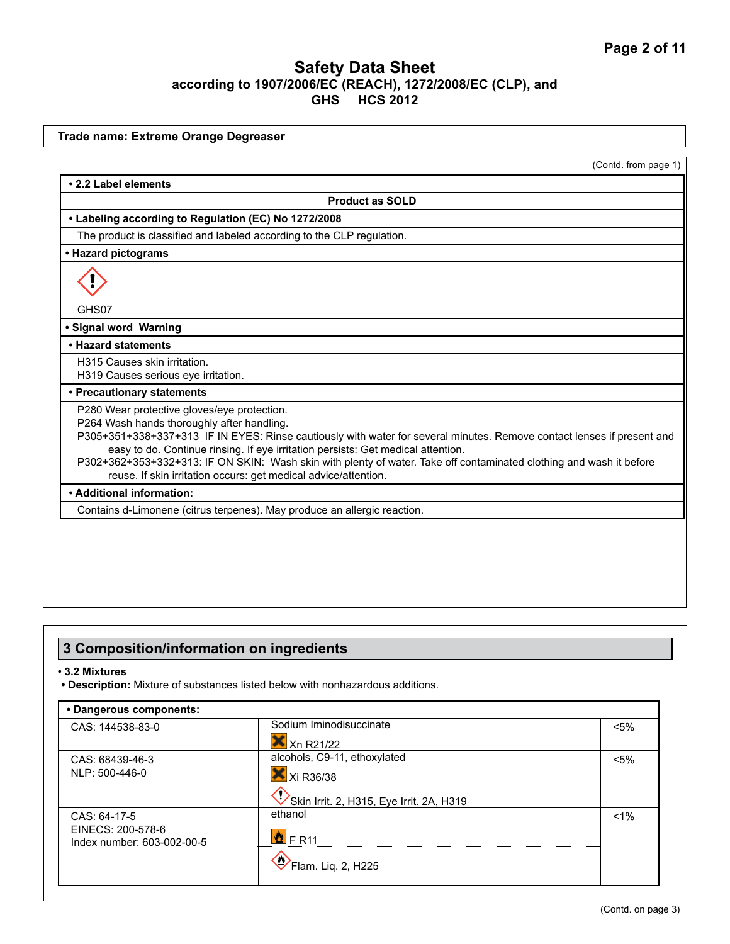|                                                                                                                                                                                                                                                                                                                                                                                                                                                                                                   | (Contd. from page 1) |
|---------------------------------------------------------------------------------------------------------------------------------------------------------------------------------------------------------------------------------------------------------------------------------------------------------------------------------------------------------------------------------------------------------------------------------------------------------------------------------------------------|----------------------|
| • 2.2 Label elements                                                                                                                                                                                                                                                                                                                                                                                                                                                                              |                      |
| <b>Product as SOLD</b>                                                                                                                                                                                                                                                                                                                                                                                                                                                                            |                      |
| • Labeling according to Regulation (EC) No 1272/2008                                                                                                                                                                                                                                                                                                                                                                                                                                              |                      |
| The product is classified and labeled according to the CLP regulation.                                                                                                                                                                                                                                                                                                                                                                                                                            |                      |
| • Hazard pictograms                                                                                                                                                                                                                                                                                                                                                                                                                                                                               |                      |
| GHS07                                                                                                                                                                                                                                                                                                                                                                                                                                                                                             |                      |
| · Signal word Warning                                                                                                                                                                                                                                                                                                                                                                                                                                                                             |                      |
| • Hazard statements                                                                                                                                                                                                                                                                                                                                                                                                                                                                               |                      |
| H315 Causes skin irritation.<br>H319 Causes serious eye irritation.                                                                                                                                                                                                                                                                                                                                                                                                                               |                      |
| • Precautionary statements                                                                                                                                                                                                                                                                                                                                                                                                                                                                        |                      |
| P280 Wear protective gloves/eye protection.<br>P264 Wash hands thoroughly after handling.<br>P305+351+338+337+313 IF IN EYES: Rinse cautiously with water for several minutes. Remove contact lenses if present and<br>easy to do. Continue rinsing. If eye irritation persists: Get medical attention.<br>P302+362+353+332+313: IF ON SKIN: Wash skin with plenty of water. Take off contaminated clothing and wash it before<br>reuse. If skin irritation occurs: get medical advice/attention. |                      |
| • Additional information:                                                                                                                                                                                                                                                                                                                                                                                                                                                                         |                      |
| Contains d-Limonene (citrus terpenes). May produce an allergic reaction.                                                                                                                                                                                                                                                                                                                                                                                                                          |                      |

# **3 Composition/information on ingredients**

#### **• 3.2 Mixtures**

**• Description:** Mixture of substances listed below with nonhazardous additions.

| • Dangerous components:                         |                                          |         |
|-------------------------------------------------|------------------------------------------|---------|
| CAS: 144538-83-0                                | Sodium Iminodisuccinate                  | $< 5\%$ |
|                                                 | Xn R21/22                                |         |
| CAS: 68439-46-3                                 | alcohols, C9-11, ethoxylated             | $< 5\%$ |
| NLP: 500-446-0                                  | $\mathsf{X}$ Xi R36/38                   |         |
|                                                 | Skin Irrit. 2, H315, Eye Irrit. 2A, H319 |         |
| CAS: 64-17-5                                    | ethanol                                  | $1\%$   |
| EINECS: 200-578-6<br>Index number: 603-002-00-5 | $\frac{1}{\sqrt{2}}$ F R11               |         |
|                                                 | $\bigotimes$ Flam. Liq. 2, H225          |         |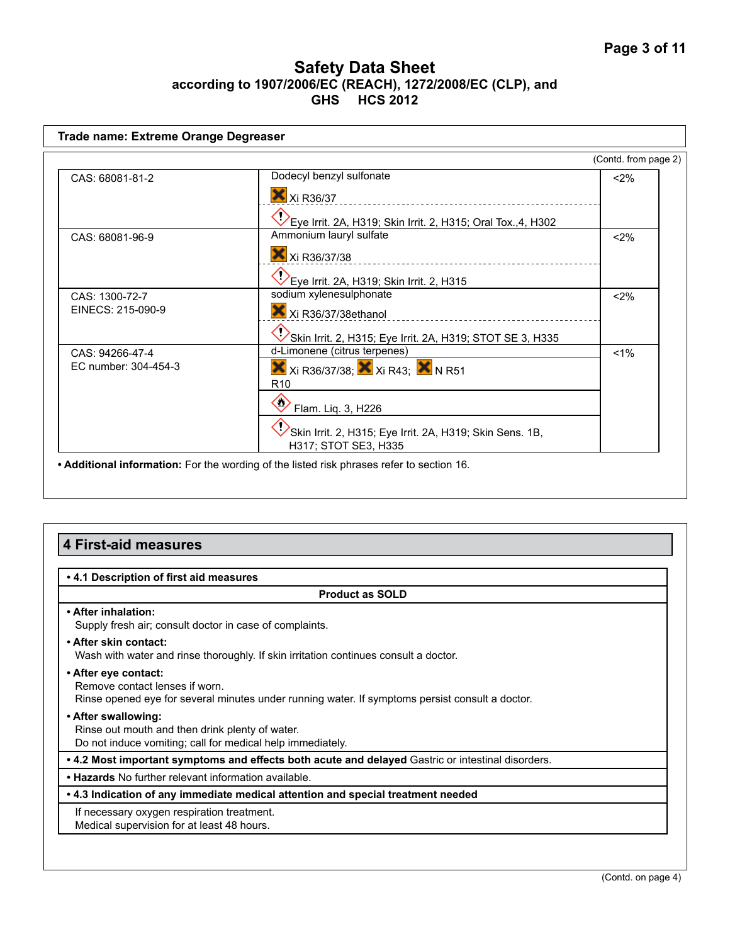| Trade name: Extreme Orange Degreaser    |                                                                                                                                                                                                       |                      |
|-----------------------------------------|-------------------------------------------------------------------------------------------------------------------------------------------------------------------------------------------------------|----------------------|
|                                         |                                                                                                                                                                                                       | (Contd. from page 2) |
| CAS: 68081-81-2                         | Dodecyl benzyl sulfonate<br>X Xi R36/37<br>Eye Irrit. 2A, H319; Skin Irrit. 2, H315; Oral Tox.,4, H302                                                                                                | $<$ 2%               |
| CAS: 68081-96-9                         | Ammonium lauryl sulfate<br>X Xi R36/37/38<br>Eye Irrit. 2A, H319; Skin Irrit. 2, H315                                                                                                                 | $<$ 2%               |
| CAS: 1300-72-7<br>EINECS: 215-090-9     | sodium xylenesulphonate<br>Xi R36/37/38ethanol<br>Skin Irrit. 2, H315; Eye Irrit. 2A, H319; STOT SE 3, H335                                                                                           | $<$ 2%               |
| CAS: 94266-47-4<br>EC number: 304-454-3 | d-Limonene (citrus terpenes)<br><b>X</b> Xi R36/37/38; X Xi R43; X N R51<br>R <sub>10</sub><br>Flam. Liq. 3, H226<br>Skin Irrit. 2, H315; Eye Irrit. 2A, H319; Skin Sens. 1B,<br>H317; STOT SE3, H335 | $1\%$                |
|                                         | • Additional information: For the wording of the listed risk phrases refer to section 16.                                                                                                             |                      |

# **4 First-aid measures**

| • 4.1 Description of first aid measures                                                                                                                   |  |
|-----------------------------------------------------------------------------------------------------------------------------------------------------------|--|
| <b>Product as SOLD</b>                                                                                                                                    |  |
| • After inhalation:<br>Supply fresh air; consult doctor in case of complaints.                                                                            |  |
| • After skin contact:<br>Wash with water and rinse thoroughly. If skin irritation continues consult a doctor.                                             |  |
| • After eye contact:<br>Remove contact lenses if worn.<br>Rinse opened eye for several minutes under running water. If symptoms persist consult a doctor. |  |
| • After swallowing:<br>Rinse out mouth and then drink plenty of water.<br>Do not induce vomiting; call for medical help immediately.                      |  |
| • 4.2 Most important symptoms and effects both acute and delayed Gastric or intestinal disorders.                                                         |  |
| • Hazards No further relevant information available.                                                                                                      |  |
| • 4.3 Indication of any immediate medical attention and special treatment needed                                                                          |  |
| If necessary oxygen respiration treatment.<br>Medical supervision for at least 48 hours.                                                                  |  |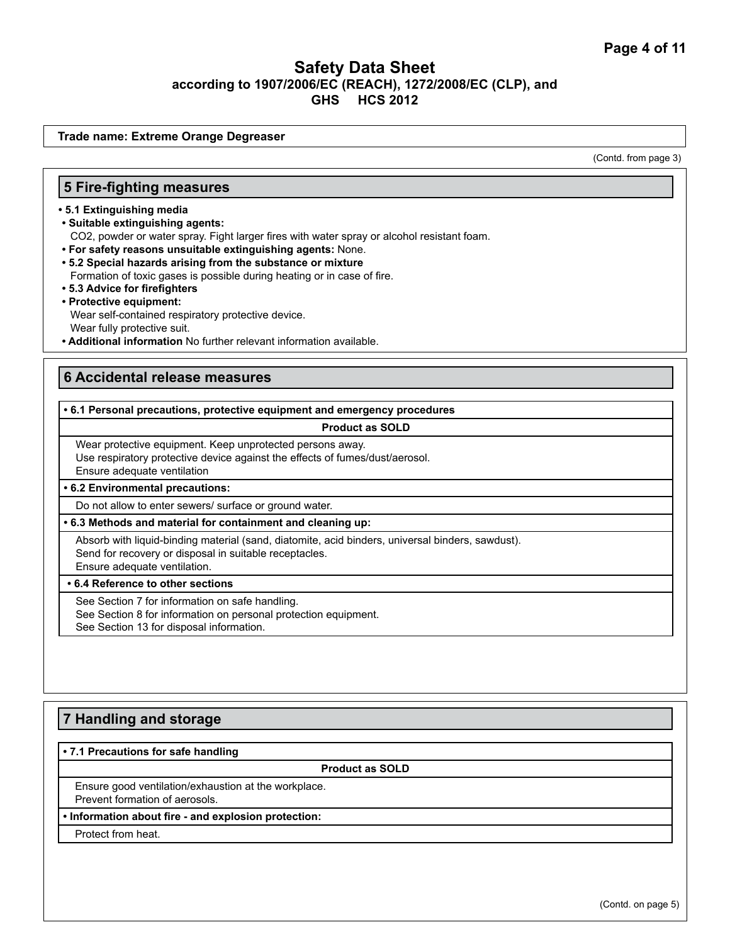**Trade name: Extreme Orange Degreaser**

(Contd. from page 3)

#### **5 Fire-fighting measures**

- **5.1 Extinguishing media**
- **Suitable extinguishing agents:**
	- CO2, powder or water spray. Fight larger fires with water spray or alcohol resistant foam.
- **For safety reasons unsuitable extinguishing agents:** None.
- **5.2 Special hazards arising from the substance or mixture**
- Formation of toxic gases is possible during heating or in case of fire.
- **5.3 Advice for firefighters**
- **Protective equipment:** Wear self-contained respiratory protective device.

Wear fully protective suit.

**• Additional information** No further relevant information available.

### **6 Accidental release measures**

#### **• 6.1 Personal precautions, protective equipment and emergency procedures**

#### **Product as SOLD**

Wear protective equipment. Keep unprotected persons away. Use respiratory protective device against the effects of fumes/dust/aerosol. Ensure adequate ventilation

**• 6.2 Environmental precautions:** 

Do not allow to enter sewers/ surface or ground water.

#### **• 6.3 Methods and material for containment and cleaning up:**

Absorb with liquid-binding material (sand, diatomite, acid binders, universal binders, sawdust). Send for recovery or disposal in suitable receptacles. Ensure adequate ventilation.

**• 6.4 Reference to other sections**

See Section 7 for information on safe handling.

See Section 8 for information on personal protection equipment.

See Section 13 for disposal information.

### **7 Handling and storage**

#### **• 7.1 Precautions for safe handling**

**Product as SOLD**

Ensure good ventilation/exhaustion at the workplace. Prevent formation of aerosols.

#### **• Information about fire - and explosion protection:**

Protect from heat.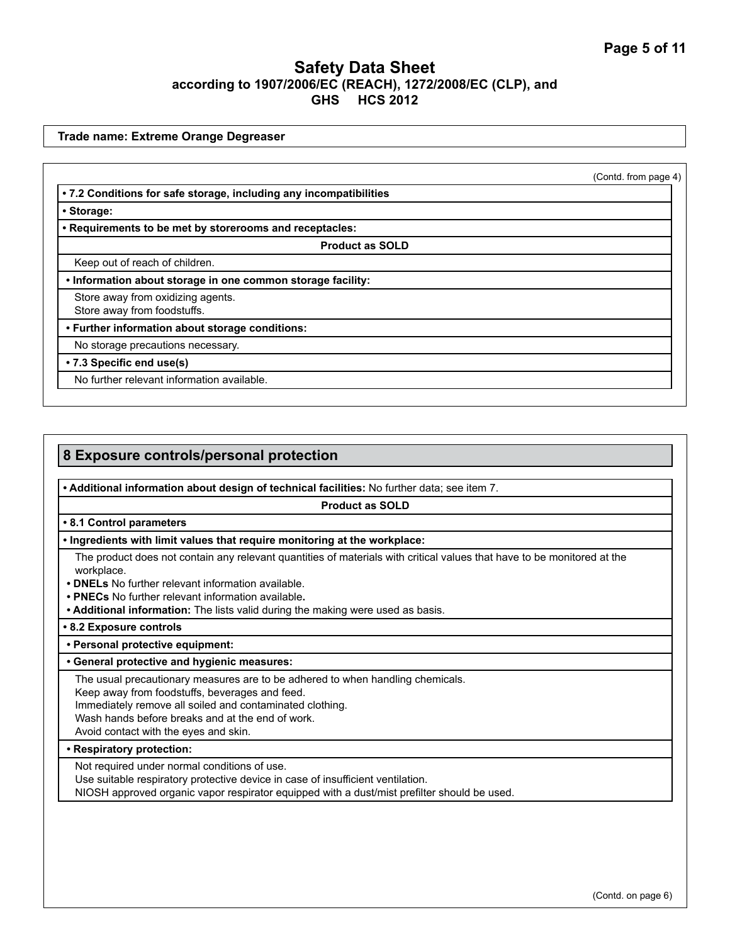**Trade name: Extreme Orange Degreaser**

(Contd. from page 4)

**• 7.2 Conditions for safe storage, including any incompatibilities**

**• Storage:**

**• Requirements to be met by storerooms and receptacles:**

**Product as SOLD**

Keep out of reach of children.

**• Information about storage in one common storage facility:**

Store away from oxidizing agents.

Store away from foodstuffs.

**• Further information about storage conditions:** 

No storage precautions necessary.

**• 7.3 Specific end use(s)** 

No further relevant information available.

# **8 Exposure controls/personal protection**

**• Additional information about design of technical facilities:** No further data; see item 7.

**Product as SOLD**

#### **• 8.1 Control parameters**

#### **• Ingredients with limit values that require monitoring at the workplace:**

The product does not contain any relevant quantities of materials with critical values that have to be monitored at the workplace.

- **DNELs** No further relevant information available.
- **PNECs** No further relevant information available**.**
- **Additional information:** The lists valid during the making were used as basis.

**• 8.2 Exposure controls**

#### **• Personal protective equipment:**

#### **• General protective and hygienic measures:**

The usual precautionary measures are to be adhered to when handling chemicals.

Keep away from foodstuffs, beverages and feed.

Immediately remove all soiled and contaminated clothing.

Wash hands before breaks and at the end of work.

Avoid contact with the eyes and skin.

#### **• Respiratory protection:**

Not required under normal conditions of use.

Use suitable respiratory protective device in case of insufficient ventilation.

NIOSH approved organic vapor respirator equipped with a dust/mist prefilter should be used.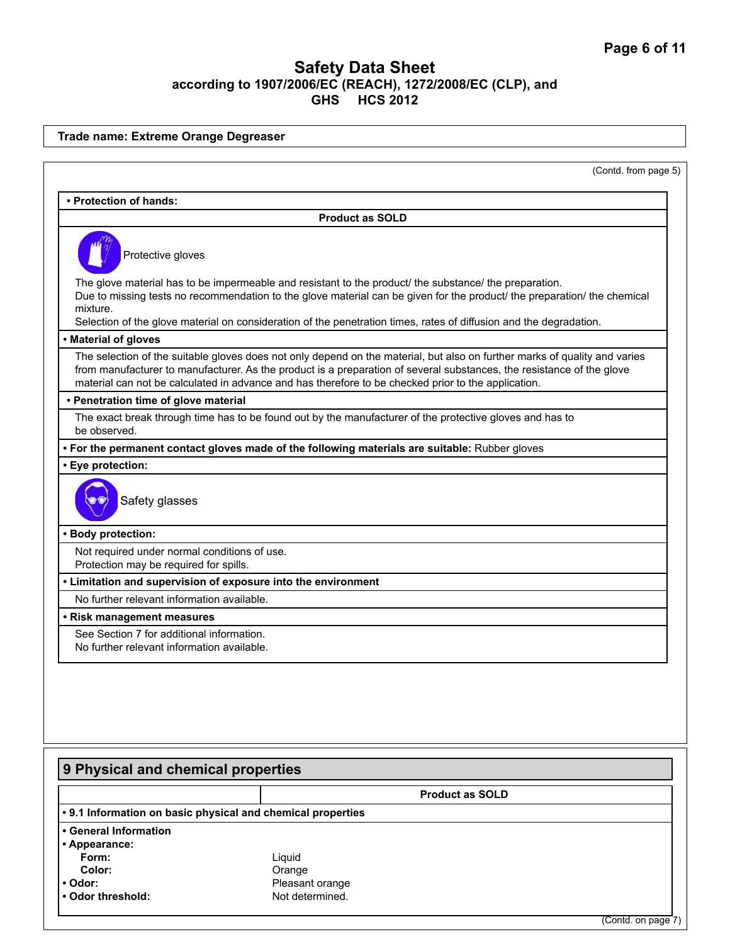| • Protection of hands:<br><b>Product as SOLD</b><br>Protective gloves<br>The glove material has to be impermeable and resistant to the product/ the substance/ the preparation.<br>Due to missing tests no recommendation to the glove material can be given for the product/ the preparation/ the chemical<br>mixture.<br>Selection of the glove material on consideration of the penetration times, rates of diffusion and the degradation.<br>• Material of gloves<br>The selection of the suitable gloves does not only depend on the material, but also on further marks of quality and varies<br>from manufacturer to manufacturer. As the product is a preparation of several substances, the resistance of the glove<br>material can not be calculated in advance and has therefore to be checked prior to the application.<br>• Penetration time of glove material<br>The exact break through time has to be found out by the manufacturer of the protective gloves and has to<br>be observed.<br>. For the permanent contact gloves made of the following materials are suitable: Rubber gloves<br>· Eye protection:<br>Safety glasses<br>· Body protection:<br>Not required under normal conditions of use.<br>Protection may be required for spills.<br>• Limitation and supervision of exposure into the environment<br>No further relevant information available.<br>See Section 7 for additional information.<br>No further relevant information available.<br><b>Product as SOLD</b><br>Form:<br>Liquid<br>Color:<br>Orange<br>Pleasant orange |  | (Contd. from page 5) |
|----------------------------------------------------------------------------------------------------------------------------------------------------------------------------------------------------------------------------------------------------------------------------------------------------------------------------------------------------------------------------------------------------------------------------------------------------------------------------------------------------------------------------------------------------------------------------------------------------------------------------------------------------------------------------------------------------------------------------------------------------------------------------------------------------------------------------------------------------------------------------------------------------------------------------------------------------------------------------------------------------------------------------------------------------------------------------------------------------------------------------------------------------------------------------------------------------------------------------------------------------------------------------------------------------------------------------------------------------------------------------------------------------------------------------------------------------------------------------------------------------------------------------------------------------------------|--|----------------------|
|                                                                                                                                                                                                                                                                                                                                                                                                                                                                                                                                                                                                                                                                                                                                                                                                                                                                                                                                                                                                                                                                                                                                                                                                                                                                                                                                                                                                                                                                                                                                                                |  |                      |
|                                                                                                                                                                                                                                                                                                                                                                                                                                                                                                                                                                                                                                                                                                                                                                                                                                                                                                                                                                                                                                                                                                                                                                                                                                                                                                                                                                                                                                                                                                                                                                |  |                      |
|                                                                                                                                                                                                                                                                                                                                                                                                                                                                                                                                                                                                                                                                                                                                                                                                                                                                                                                                                                                                                                                                                                                                                                                                                                                                                                                                                                                                                                                                                                                                                                |  |                      |
|                                                                                                                                                                                                                                                                                                                                                                                                                                                                                                                                                                                                                                                                                                                                                                                                                                                                                                                                                                                                                                                                                                                                                                                                                                                                                                                                                                                                                                                                                                                                                                |  |                      |
|                                                                                                                                                                                                                                                                                                                                                                                                                                                                                                                                                                                                                                                                                                                                                                                                                                                                                                                                                                                                                                                                                                                                                                                                                                                                                                                                                                                                                                                                                                                                                                |  |                      |
|                                                                                                                                                                                                                                                                                                                                                                                                                                                                                                                                                                                                                                                                                                                                                                                                                                                                                                                                                                                                                                                                                                                                                                                                                                                                                                                                                                                                                                                                                                                                                                |  |                      |
|                                                                                                                                                                                                                                                                                                                                                                                                                                                                                                                                                                                                                                                                                                                                                                                                                                                                                                                                                                                                                                                                                                                                                                                                                                                                                                                                                                                                                                                                                                                                                                |  |                      |
|                                                                                                                                                                                                                                                                                                                                                                                                                                                                                                                                                                                                                                                                                                                                                                                                                                                                                                                                                                                                                                                                                                                                                                                                                                                                                                                                                                                                                                                                                                                                                                |  |                      |
|                                                                                                                                                                                                                                                                                                                                                                                                                                                                                                                                                                                                                                                                                                                                                                                                                                                                                                                                                                                                                                                                                                                                                                                                                                                                                                                                                                                                                                                                                                                                                                |  |                      |
|                                                                                                                                                                                                                                                                                                                                                                                                                                                                                                                                                                                                                                                                                                                                                                                                                                                                                                                                                                                                                                                                                                                                                                                                                                                                                                                                                                                                                                                                                                                                                                |  |                      |
|                                                                                                                                                                                                                                                                                                                                                                                                                                                                                                                                                                                                                                                                                                                                                                                                                                                                                                                                                                                                                                                                                                                                                                                                                                                                                                                                                                                                                                                                                                                                                                |  |                      |
|                                                                                                                                                                                                                                                                                                                                                                                                                                                                                                                                                                                                                                                                                                                                                                                                                                                                                                                                                                                                                                                                                                                                                                                                                                                                                                                                                                                                                                                                                                                                                                |  |                      |
|                                                                                                                                                                                                                                                                                                                                                                                                                                                                                                                                                                                                                                                                                                                                                                                                                                                                                                                                                                                                                                                                                                                                                                                                                                                                                                                                                                                                                                                                                                                                                                |  |                      |
|                                                                                                                                                                                                                                                                                                                                                                                                                                                                                                                                                                                                                                                                                                                                                                                                                                                                                                                                                                                                                                                                                                                                                                                                                                                                                                                                                                                                                                                                                                                                                                |  |                      |
|                                                                                                                                                                                                                                                                                                                                                                                                                                                                                                                                                                                                                                                                                                                                                                                                                                                                                                                                                                                                                                                                                                                                                                                                                                                                                                                                                                                                                                                                                                                                                                |  |                      |
| • Risk management measures<br>9 Physical and chemical properties<br>• 9.1 Information on basic physical and chemical properties<br>• General Information<br>• Appearance:<br>• Odor:                                                                                                                                                                                                                                                                                                                                                                                                                                                                                                                                                                                                                                                                                                                                                                                                                                                                                                                                                                                                                                                                                                                                                                                                                                                                                                                                                                           |  |                      |
|                                                                                                                                                                                                                                                                                                                                                                                                                                                                                                                                                                                                                                                                                                                                                                                                                                                                                                                                                                                                                                                                                                                                                                                                                                                                                                                                                                                                                                                                                                                                                                |  |                      |
|                                                                                                                                                                                                                                                                                                                                                                                                                                                                                                                                                                                                                                                                                                                                                                                                                                                                                                                                                                                                                                                                                                                                                                                                                                                                                                                                                                                                                                                                                                                                                                |  |                      |
|                                                                                                                                                                                                                                                                                                                                                                                                                                                                                                                                                                                                                                                                                                                                                                                                                                                                                                                                                                                                                                                                                                                                                                                                                                                                                                                                                                                                                                                                                                                                                                |  |                      |
|                                                                                                                                                                                                                                                                                                                                                                                                                                                                                                                                                                                                                                                                                                                                                                                                                                                                                                                                                                                                                                                                                                                                                                                                                                                                                                                                                                                                                                                                                                                                                                |  |                      |
|                                                                                                                                                                                                                                                                                                                                                                                                                                                                                                                                                                                                                                                                                                                                                                                                                                                                                                                                                                                                                                                                                                                                                                                                                                                                                                                                                                                                                                                                                                                                                                |  |                      |
|                                                                                                                                                                                                                                                                                                                                                                                                                                                                                                                                                                                                                                                                                                                                                                                                                                                                                                                                                                                                                                                                                                                                                                                                                                                                                                                                                                                                                                                                                                                                                                |  |                      |
|                                                                                                                                                                                                                                                                                                                                                                                                                                                                                                                                                                                                                                                                                                                                                                                                                                                                                                                                                                                                                                                                                                                                                                                                                                                                                                                                                                                                                                                                                                                                                                |  |                      |
|                                                                                                                                                                                                                                                                                                                                                                                                                                                                                                                                                                                                                                                                                                                                                                                                                                                                                                                                                                                                                                                                                                                                                                                                                                                                                                                                                                                                                                                                                                                                                                |  |                      |
|                                                                                                                                                                                                                                                                                                                                                                                                                                                                                                                                                                                                                                                                                                                                                                                                                                                                                                                                                                                                                                                                                                                                                                                                                                                                                                                                                                                                                                                                                                                                                                |  |                      |
|                                                                                                                                                                                                                                                                                                                                                                                                                                                                                                                                                                                                                                                                                                                                                                                                                                                                                                                                                                                                                                                                                                                                                                                                                                                                                                                                                                                                                                                                                                                                                                |  |                      |
|                                                                                                                                                                                                                                                                                                                                                                                                                                                                                                                                                                                                                                                                                                                                                                                                                                                                                                                                                                                                                                                                                                                                                                                                                                                                                                                                                                                                                                                                                                                                                                |  |                      |
| • Odor threshold:<br>Not determined.                                                                                                                                                                                                                                                                                                                                                                                                                                                                                                                                                                                                                                                                                                                                                                                                                                                                                                                                                                                                                                                                                                                                                                                                                                                                                                                                                                                                                                                                                                                           |  |                      |
|                                                                                                                                                                                                                                                                                                                                                                                                                                                                                                                                                                                                                                                                                                                                                                                                                                                                                                                                                                                                                                                                                                                                                                                                                                                                                                                                                                                                                                                                                                                                                                |  | (Contd. on page 7)   |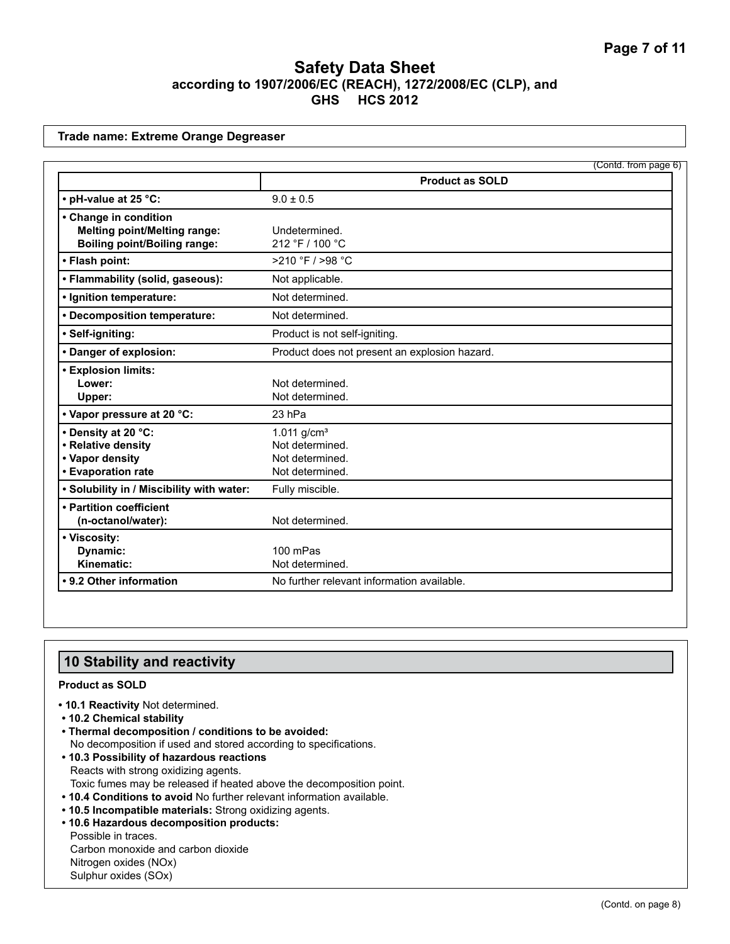#### **Trade name: Extreme Orange Degreaser**

|                                           | (Contd. from page 6)                          |
|-------------------------------------------|-----------------------------------------------|
|                                           | <b>Product as SOLD</b>                        |
| • pH-value at 25 °C:                      | $9.0 \pm 0.5$                                 |
| • Change in condition                     |                                               |
| <b>Melting point/Melting range:</b>       | Undetermined.                                 |
| <b>Boiling point/Boiling range:</b>       | 212 °F / 100 °C                               |
| • Flash point:                            | >210 °F / >98 °C                              |
| • Flammability (solid, gaseous):          | Not applicable.                               |
| · Ignition temperature:                   | Not determined.                               |
| • Decomposition temperature:              | Not determined.                               |
| · Self-igniting:                          | Product is not self-igniting.                 |
| • Danger of explosion:                    | Product does not present an explosion hazard. |
| • Explosion limits:                       |                                               |
| Lower:                                    | Not determined.                               |
| Upper:                                    | Not determined.                               |
| • Vapor pressure at 20 °C:                | 23 hPa                                        |
| • Density at 20 °C:                       | 1.011 $g/cm^{3}$                              |
| • Relative density                        | Not determined.                               |
| • Vapor density                           | Not determined.                               |
| • Evaporation rate                        | Not determined.                               |
| . Solubility in / Miscibility with water: | Fully miscible.                               |
| • Partition coefficient                   |                                               |
| (n-octanol/water):                        | Not determined.                               |
| • Viscosity:                              |                                               |
| Dynamic:                                  | 100 mPas                                      |
| Kinematic:                                | Not determined.                               |
| • 9.2 Other information                   | No further relevant information available.    |

### **10 Stability and reactivity**

#### **Product as SOLD**

- **10.1 Reactivity** Not determined.
- **10.2 Chemical stability**
- **Thermal decomposition / conditions to be avoided:** No decomposition if used and stored according to specifications.
- **10.3 Possibility of hazardous reactions** Reacts with strong oxidizing agents. Toxic fumes may be released if heated above the decomposition point.
- **10.4 Conditions to avoid** No further relevant information available.
- **10.5 Incompatible materials:** Strong oxidizing agents.
- **10.6 Hazardous decomposition products:** Possible in traces. Carbon monoxide and carbon dioxide Nitrogen oxides (NOx) Sulphur oxides (SOx)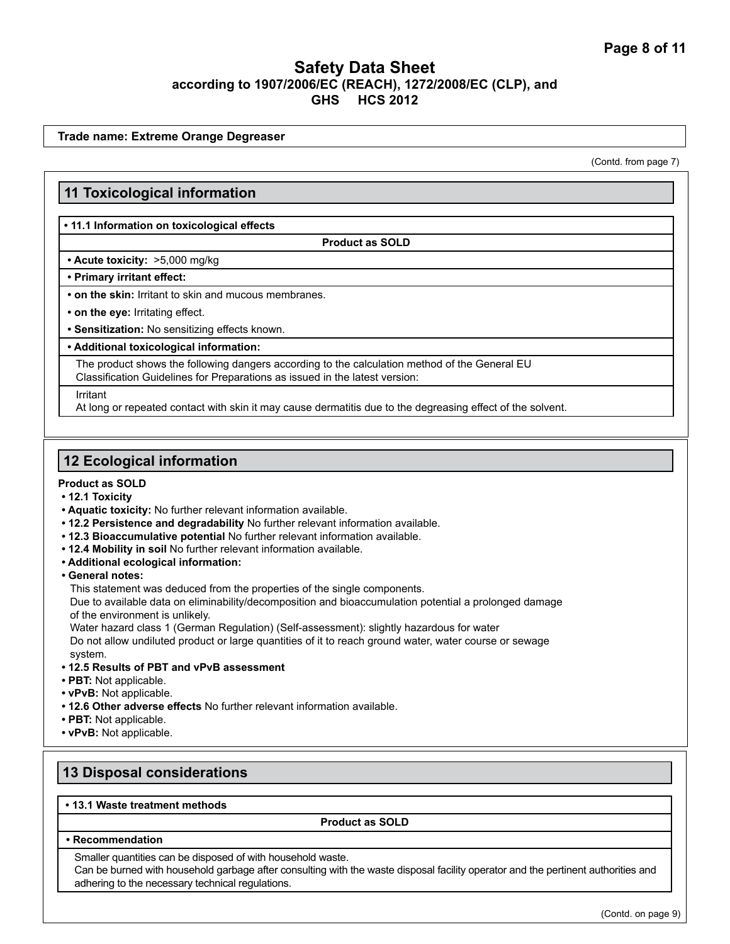**Trade name: Extreme Orange Degreaser**

(Contd. from page 7)

### **11 Toxicological information**

#### **• 11.1 Information on toxicological effects**

**Product as SOLD**

#### **• Acute toxicity:** >5,000 mg/kg

#### **• Primary irritant effect:**

**• on the skin:** Irritant to skin and mucous membranes.

**• on the eye:** Irritating effect.

**• Sensitization:** No sensitizing effects known.

#### **• Additional toxicological information:**

The product shows the following dangers according to the calculation method of the General EU Classification Guidelines for Preparations as issued in the latest version:

Irritant

At long or repeated contact with skin it may cause dermatitis due to the degreasing effect of the solvent.

### **12 Ecological information**

#### **Product as SOLD**

- **12.1 Toxicity**
- **Aquatic toxicity:** No further relevant information available.
- **12.2 Persistence and degradability** No further relevant information available.
- **12.3 Bioaccumulative potential** No further relevant information available.
- **12.4 Mobility in soil** No further relevant information available.
- **Additional ecological information:**
- **General notes:**

This statement was deduced from the properties of the single components.

Due to available data on eliminability/decomposition and bioaccumulation potential a prolonged damage of the environment is unlikely.

Water hazard class 1 (German Regulation) (Self-assessment): slightly hazardous for water Do not allow undiluted product or large quantities of it to reach ground water, water course or sewage system.

- **12.5 Results of PBT and vPvB assessment**
- **PBT:** Not applicable.
- **vPvB:** Not applicable.
- **12.6 Other adverse effects** No further relevant information available.
- **PBT:** Not applicable.
- **vPvB:** Not applicable.

# **13 Disposal considerations**

#### **• 13.1 Waste treatment methods**

**Product as SOLD**

**• Recommendation**

Smaller quantities can be disposed of with household waste.

Can be burned with household garbage after consulting with the waste disposal facility operator and the pertinent authorities and adhering to the necessary technical regulations.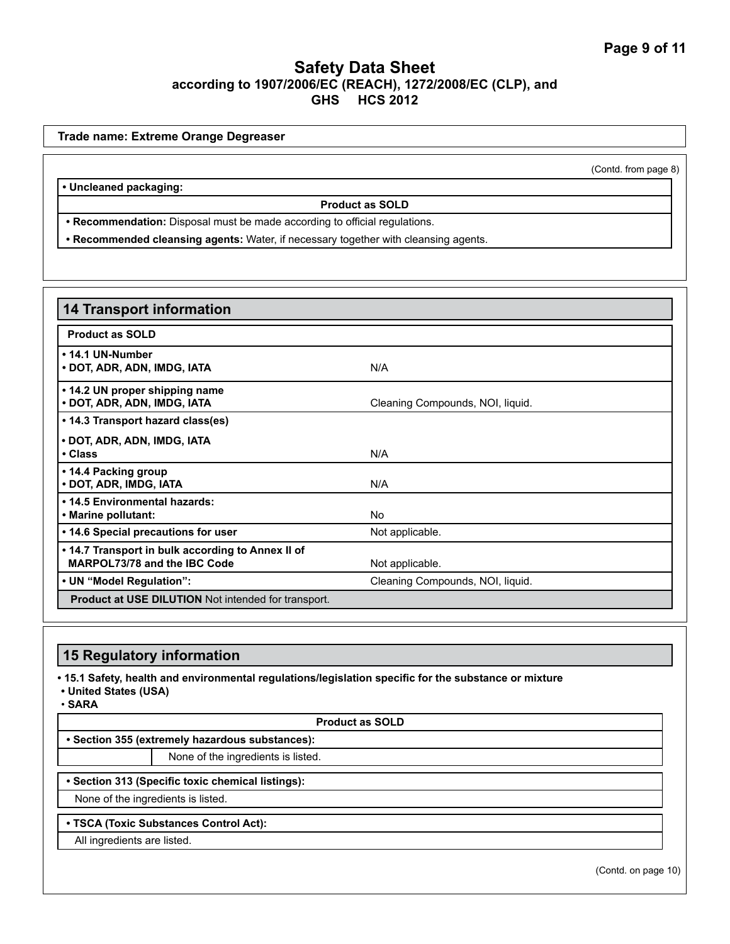|                                                                                     | (Contd. from page 8) |
|-------------------------------------------------------------------------------------|----------------------|
| • Uncleaned packaging:                                                              |                      |
| <b>Product as SOLD</b>                                                              |                      |
| • Recommendation: Disposal must be made according to official regulations.          |                      |
| . Recommended cleansing agents: Water, if necessary together with cleansing agents. |                      |

| <b>14 Transport information</b>                                                   |                                  |
|-----------------------------------------------------------------------------------|----------------------------------|
| <b>Product as SOLD</b>                                                            |                                  |
| • 14.1 UN-Number<br>• DOT, ADR, ADN, IMDG, IATA                                   | N/A                              |
| • 14.2 UN proper shipping name<br>• DOT, ADR, ADN, IMDG, IATA                     | Cleaning Compounds, NOI, liquid. |
| • 14.3 Transport hazard class(es)                                                 |                                  |
| • DOT, ADR, ADN, IMDG, IATA<br>• Class                                            | N/A                              |
| • 14.4 Packing group<br>• DOT, ADR, IMDG, IATA                                    | N/A                              |
| • 14.5 Environmental hazards:<br>• Marine pollutant:                              | No.                              |
| • 14.6 Special precautions for user                                               | Not applicable.                  |
| • 14.7 Transport in bulk according to Annex II of<br>MARPOL73/78 and the IBC Code | Not applicable.                  |
| • UN "Model Regulation":                                                          | Cleaning Compounds, NOI, liquid. |
| <b>Product at USE DILUTION</b> Not intended for transport.                        |                                  |

# **15 Regulatory information**

**• 15.1 Safety, health and environmental regulations/legislation specific for the substance or mixture**

**• United States (USA)**

• **SARA**

**Product as SOLD**

**• Section 355 (extremely hazardous substances):**

None of the ingredients is listed.

**• Section 313 (Specific toxic chemical listings):**

None of the ingredients is listed.

**• TSCA (Toxic Substances Control Act):**

All ingredients are listed.

(Contd. on page 10)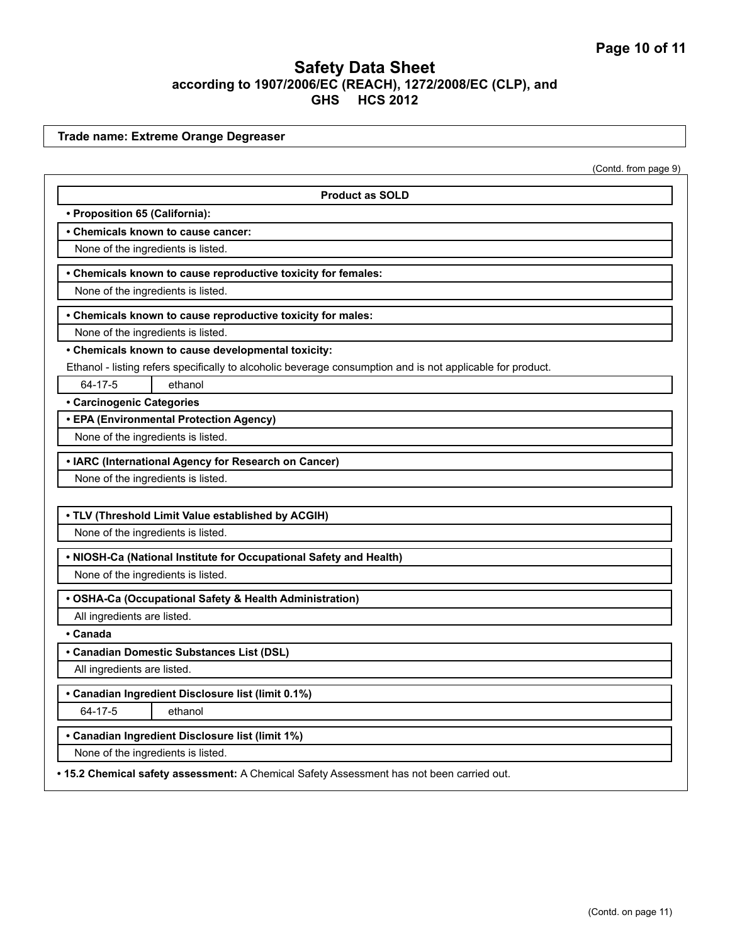**Trade name: Extreme Orange Degreaser**

(Contd. from page 9)

| <b>Product as SOLD</b>                                                                                     |
|------------------------------------------------------------------------------------------------------------|
| • Proposition 65 (California):                                                                             |
| • Chemicals known to cause cancer:                                                                         |
| None of the ingredients is listed.                                                                         |
| • Chemicals known to cause reproductive toxicity for females:                                              |
| None of the ingredients is listed.                                                                         |
| • Chemicals known to cause reproductive toxicity for males:                                                |
| None of the ingredients is listed.                                                                         |
| • Chemicals known to cause developmental toxicity:                                                         |
| Ethanol - listing refers specifically to alcoholic beverage consumption and is not applicable for product. |
| 64-17-5<br>ethanol                                                                                         |
| <b>• Carcinogenic Categories</b>                                                                           |
| • EPA (Environmental Protection Agency)                                                                    |
| None of the ingredients is listed.                                                                         |
| • IARC (International Agency for Research on Cancer)                                                       |
| None of the ingredients is listed.                                                                         |
|                                                                                                            |
| . TLV (Threshold Limit Value established by ACGIH)                                                         |
| None of the ingredients is listed.                                                                         |
| . NIOSH-Ca (National Institute for Occupational Safety and Health)                                         |
| None of the ingredients is listed.                                                                         |
| • OSHA-Ca (Occupational Safety & Health Administration)                                                    |
| All ingredients are listed.                                                                                |
| • Canada                                                                                                   |
| • Canadian Domestic Substances List (DSL)                                                                  |
| All ingredients are listed.                                                                                |
| • Canadian Ingredient Disclosure list (limit 0.1%)                                                         |
| 64-17-5<br>ethanol                                                                                         |
| • Canadian Ingredient Disclosure list (limit 1%)                                                           |
| None of the ingredients is listed.                                                                         |
| . 15.2 Chemical safety assessment: A Chemical Safety Assessment has not been carried out.                  |